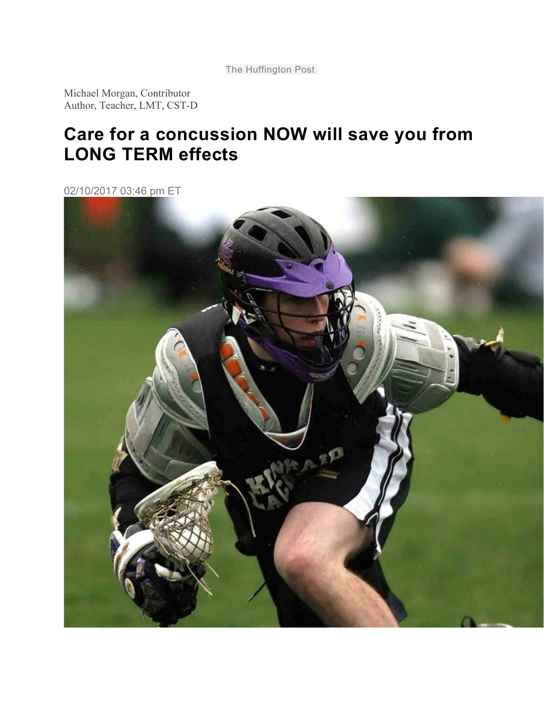The Huffington Post

Michael Morgan, Contributor Author, Teacher, LMT, CST-D

## **Care for a concussion NOW will save you from LONG TERM effects**

02/10/2017 03:46 pm ET

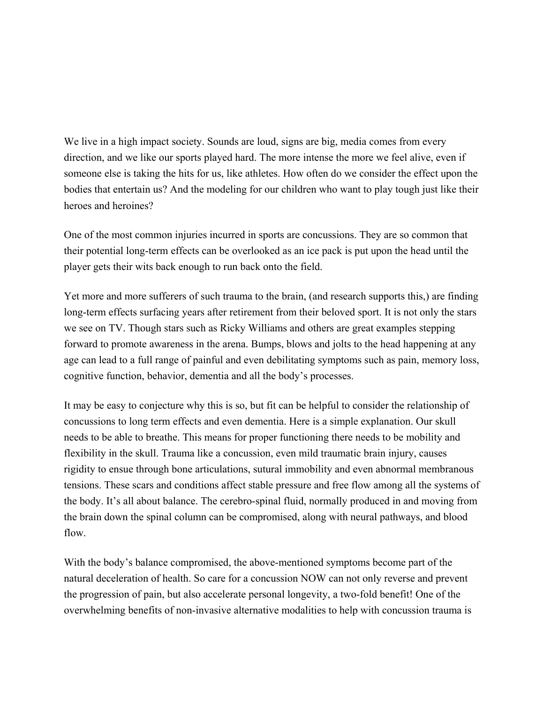We live in a high impact society. Sounds are loud, signs are big, media comes from every direction, and we like our sports played hard. The more intense the more we feel alive, even if someone else is taking the hits for us, like athletes. How often do we consider the effect upon the bodies that entertain us? And the modeling for our children who want to play tough just like their heroes and heroines?

One of the most common injuries incurred in sports are concussions. They are so common that their potential long-term effects can be overlooked as an ice pack is put upon the head until the player gets their wits back enough to run back onto the field.

Yet more and more sufferers of such trauma to the brain, (and research supports this,) are finding long-term effects surfacing years after retirement from their beloved sport. It is not only the stars we see on TV. Though stars such as Ricky Williams and others are great examples stepping forward to promote awareness in the arena. Bumps, blows and jolts to the head happening at any age can lead to a full range of painful and even debilitating symptoms such as pain, memory loss, cognitive function, behavior, dementia and all the body's processes.

It may be easy to conjecture why this is so, but fit can be helpful to consider the relationship of concussions to long term effects and even dementia. Here is a simple explanation. Our skull needs to be able to breathe. This means for proper functioning there needs to be mobility and flexibility in the skull. Trauma like a concussion, even mild traumatic brain injury, causes rigidity to ensue through bone articulations, sutural immobility and even abnormal membranous tensions. These scars and conditions affect stable pressure and free flow among all the systems of the body. It's all about balance. The cerebro-spinal fluid, normally produced in and moving from the brain down the spinal column can be compromised, along with neural pathways, and blood flow.

With the body's balance compromised, the above-mentioned symptoms become part of the natural deceleration of health. So care for a concussion NOW can not only reverse and prevent the progression of pain, but also accelerate personal longevity, a two-fold benefit! One of the overwhelming benefits of non-invasive alternative modalities to help with concussion trauma is